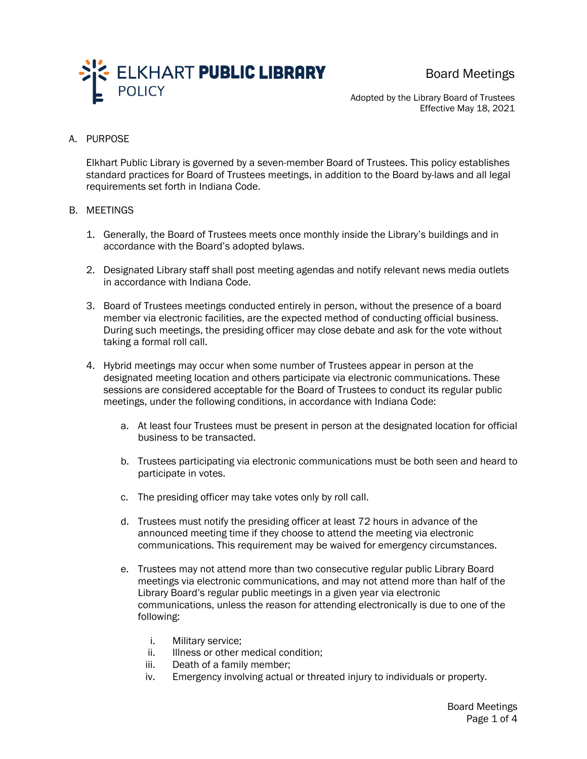

Board Meetings

Adopted by the Library Board of Trustees Effective May 18, 2021

## A. PURPOSE

Elkhart Public Library is governed by a seven-member Board of Trustees. This policy establishes standard practices for Board of Trustees meetings, in addition to the Board by-laws and all legal requirements set forth in Indiana Code.

## B. MEETINGS

- 1. Generally, the Board of Trustees meets once monthly inside the Library's buildings and in accordance with the Board's adopted bylaws.
- 2. Designated Library staff shall post meeting agendas and notify relevant news media outlets in accordance with Indiana Code.
- 3. Board of Trustees meetings conducted entirely in person, without the presence of a board member via electronic facilities, are the expected method of conducting official business. During such meetings, the presiding officer may close debate and ask for the vote without taking a formal roll call.
- 4. Hybrid meetings may occur when some number of Trustees appear in person at the designated meeting location and others participate via electronic communications. These sessions are considered acceptable for the Board of Trustees to conduct its regular public meetings, under the following conditions, in accordance with Indiana Code:
	- a. At least four Trustees must be present in person at the designated location for official business to be transacted.
	- b. Trustees participating via electronic communications must be both seen and heard to participate in votes.
	- c. The presiding officer may take votes only by roll call.
	- d. Trustees must notify the presiding officer at least 72 hours in advance of the announced meeting time if they choose to attend the meeting via electronic communications. This requirement may be waived for emergency circumstances.
	- e. Trustees may not attend more than two consecutive regular public Library Board meetings via electronic communications, and may not attend more than half of the Library Board's regular public meetings in a given year via electronic communications, unless the reason for attending electronically is due to one of the following:
		- i. Military service;
		- ii. Illness or other medical condition;
		- iii. Death of a family member;
		- iv. Emergency involving actual or threated injury to individuals or property.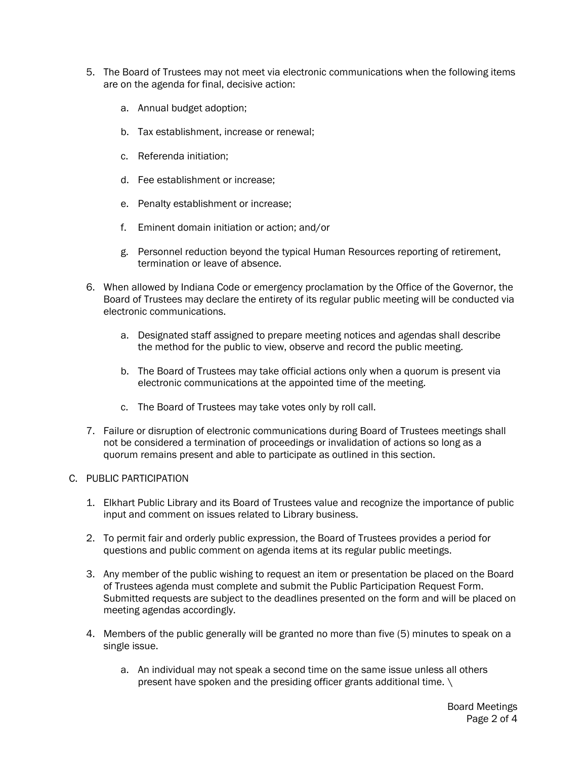- 5. The Board of Trustees may not meet via electronic communications when the following items are on the agenda for final, decisive action:
	- a. Annual budget adoption;
	- b. Tax establishment, increase or renewal;
	- c. Referenda initiation;
	- d. Fee establishment or increase;
	- e. Penalty establishment or increase;
	- f. Eminent domain initiation or action; and/or
	- g. Personnel reduction beyond the typical Human Resources reporting of retirement, termination or leave of absence.
- 6. When allowed by Indiana Code or emergency proclamation by the Office of the Governor, the Board of Trustees may declare the entirety of its regular public meeting will be conducted via electronic communications.
	- a. Designated staff assigned to prepare meeting notices and agendas shall describe the method for the public to view, observe and record the public meeting.
	- b. The Board of Trustees may take official actions only when a quorum is present via electronic communications at the appointed time of the meeting.
	- c. The Board of Trustees may take votes only by roll call.
- 7. Failure or disruption of electronic communications during Board of Trustees meetings shall not be considered a termination of proceedings or invalidation of actions so long as a quorum remains present and able to participate as outlined in this section.

## C. PUBLIC PARTICIPATION

- 1. Elkhart Public Library and its Board of Trustees value and recognize the importance of public input and comment on issues related to Library business.
- 2. To permit fair and orderly public expression, the Board of Trustees provides a period for questions and public comment on agenda items at its regular public meetings.
- 3. Any member of the public wishing to request an item or presentation be placed on the Board of Trustees agenda must complete and submit the Public Participation Request Form. Submitted requests are subject to the deadlines presented on the form and will be placed on meeting agendas accordingly.
- 4. Members of the public generally will be granted no more than five (5) minutes to speak on a single issue.
	- a. An individual may not speak a second time on the same issue unless all others present have spoken and the presiding officer grants additional time. \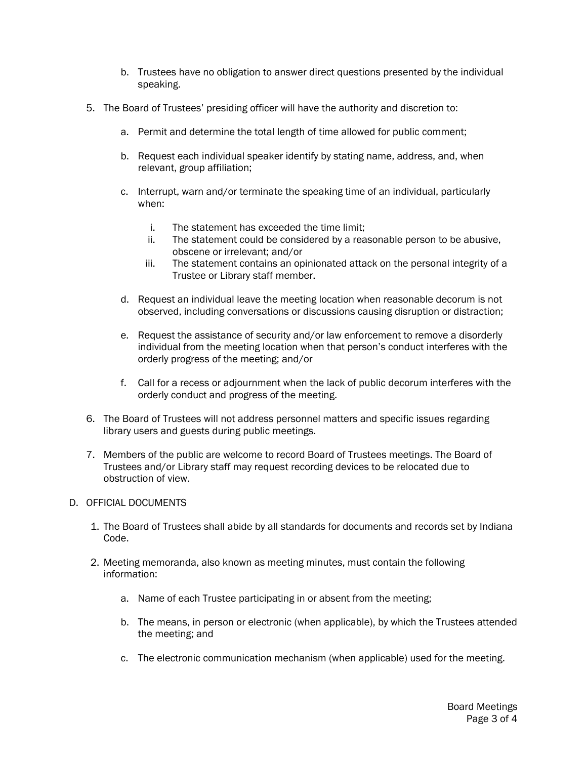- b. Trustees have no obligation to answer direct questions presented by the individual speaking.
- 5. The Board of Trustees' presiding officer will have the authority and discretion to:
	- a. Permit and determine the total length of time allowed for public comment;
	- b. Request each individual speaker identify by stating name, address, and, when relevant, group affiliation;
	- c. Interrupt, warn and/or terminate the speaking time of an individual, particularly when:
		- i. The statement has exceeded the time limit;
		- ii. The statement could be considered by a reasonable person to be abusive, obscene or irrelevant; and/or
		- iii. The statement contains an opinionated attack on the personal integrity of a Trustee or Library staff member.
	- d. Request an individual leave the meeting location when reasonable decorum is not observed, including conversations or discussions causing disruption or distraction;
	- e. Request the assistance of security and/or law enforcement to remove a disorderly individual from the meeting location when that person's conduct interferes with the orderly progress of the meeting; and/or
	- f. Call for a recess or adjournment when the lack of public decorum interferes with the orderly conduct and progress of the meeting.
- 6. The Board of Trustees will not address personnel matters and specific issues regarding library users and guests during public meetings.
- 7. Members of the public are welcome to record Board of Trustees meetings. The Board of Trustees and/or Library staff may request recording devices to be relocated due to obstruction of view.
- D. OFFICIAL DOCUMENTS
	- 1. The Board of Trustees shall abide by all standards for documents and records set by Indiana Code.
	- 2. Meeting memoranda, also known as meeting minutes, must contain the following information:
		- a. Name of each Trustee participating in or absent from the meeting;
		- b. The means, in person or electronic (when applicable), by which the Trustees attended the meeting; and
		- c. The electronic communication mechanism (when applicable) used for the meeting.